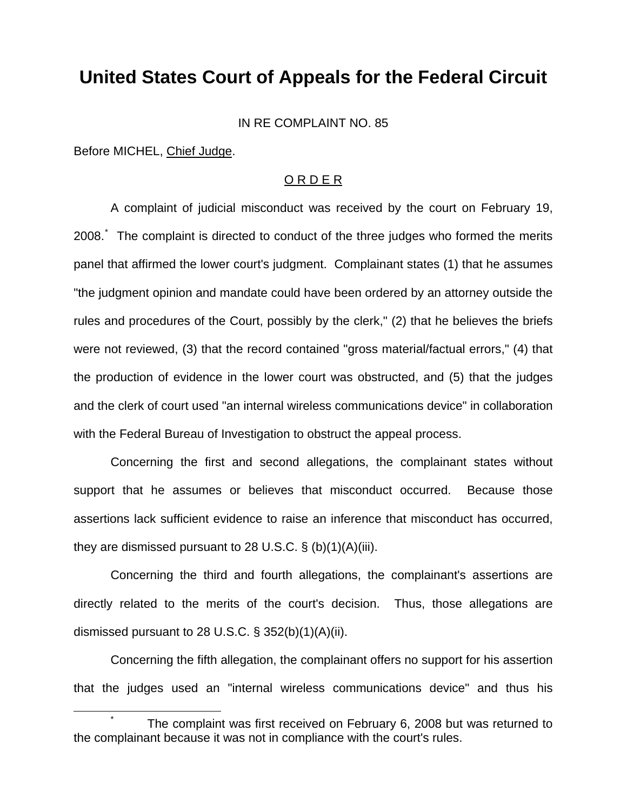## **United States Court of Appeals for the Federal Circuit**

IN RE COMPLAINT NO. 85

Before MICHEL, Chief Judge.

## O R D E R

 A complaint of judicial misconduct was received by the court on February 19, 2008. The complaint is directed to conduct of the three judges who formed the merits panel that affirmed the lower court's judgment. Complainant states (1) that he assumes "the judgment opinion and mandate could have been ordered by an attorney outside the rules and procedures of the Court, possibly by the clerk," (2) that he believes the briefs were not reviewed, (3) that the record contained "gross material/factual errors," (4) that the production of evidence in the lower court was obstructed, and (5) that the judges and the clerk of court used "an internal wireless communications device" in collaboration with the Federal Bureau of Investigation to obstruct the appeal process.

 Concerning the first and second allegations, the complainant states without support that he assumes or believes that misconduct occurred. Because those assertions lack sufficient evidence to raise an inference that misconduct has occurred, they are dismissed pursuant to 28 U.S.C.  $\S$  (b)(1)(A)(iii).

 Concerning the third and fourth allegations, the complainant's assertions are directly related to the merits of the court's decision. Thus, those allegations are dismissed pursuant to 28 U.S.C.  $\S$  352(b)(1)(A)(ii).

 Concerning the fifth allegation, the complainant offers no support for his assertion that the judges used an "internal wireless communications device" and thus his

<span id="page-0-0"></span>\* The complaint was first received on February 6, 2008 but was returned to the complainant because it was not in compliance with the court's rules.